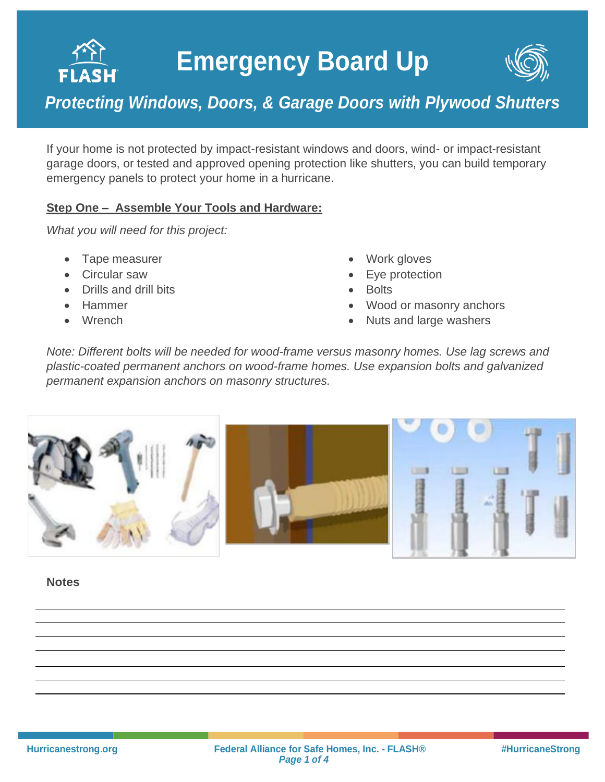# **Emergency Board Up**



### *Protecting Windows, Doors, & Garage Doors with Plywood Shutters*

If your home is not protected by impact-resistant windows and doors, wind- or impact-resistant garage doors, or tested and approved opening protection like shutters, you can build temporary emergency panels to protect your home in a hurricane.

### **Step One – Assemble Your Tools and Hardware:**

*What you will need for this project:*

• Tape measurer

- Circular saw
- Drills and drill bits
- Hammer
- Wrench
- Work gloves
- Eye protection
- Bolts
- Wood or masonry anchors
- Nuts and large washers

*Note: Different bolts will be needed for wood-frame versus masonry homes. Use lag screws and plastic-coated permanent anchors on wood-frame homes. Use expansion bolts and galvanized permanent expansion anchors on masonry structures.*



**Notes**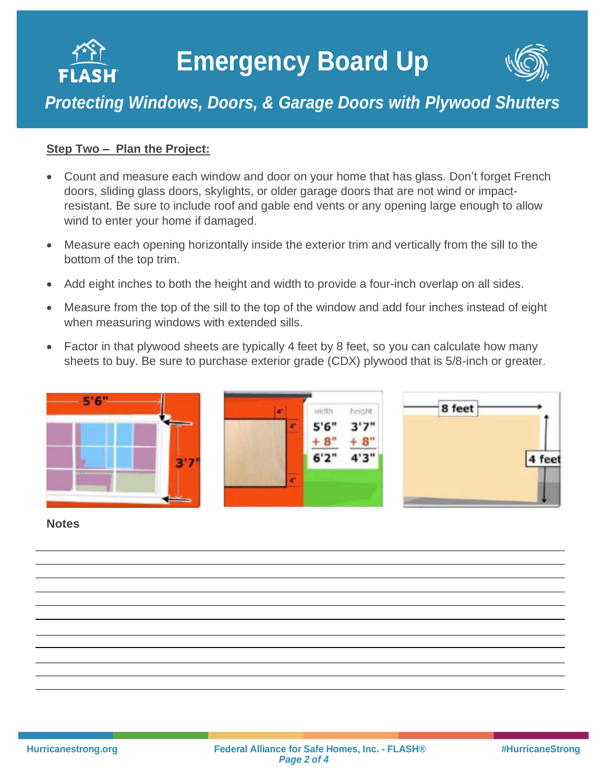



## *Protecting Windows, Doors, & Garage Doors with Plywood Shutters*

#### **Step Two – Plan the Project:**

- Count and measure each window and door on your home that has glass. Don't forget French doors, sliding glass doors, skylights, or older garage doors that are not wind or impactresistant. Be sure to include roof and gable end vents or any opening large enough to allow wind to enter your home if damaged.
- Measure each opening horizontally inside the exterior trim and vertically from the sill to the bottom of the top trim.
- Add eight inches to both the height and width to provide a four-inch overlap on all sides.
- Measure from the top of the sill to the top of the window and add four inches instead of eight when measuring windows with extended sills.
- Factor in that plywood sheets are typically 4 feet by 8 feet, so you can calculate how many sheets to buy. Be sure to purchase exterior grade (CDX) plywood that is 5/8-inch or greater.



#### **Notes**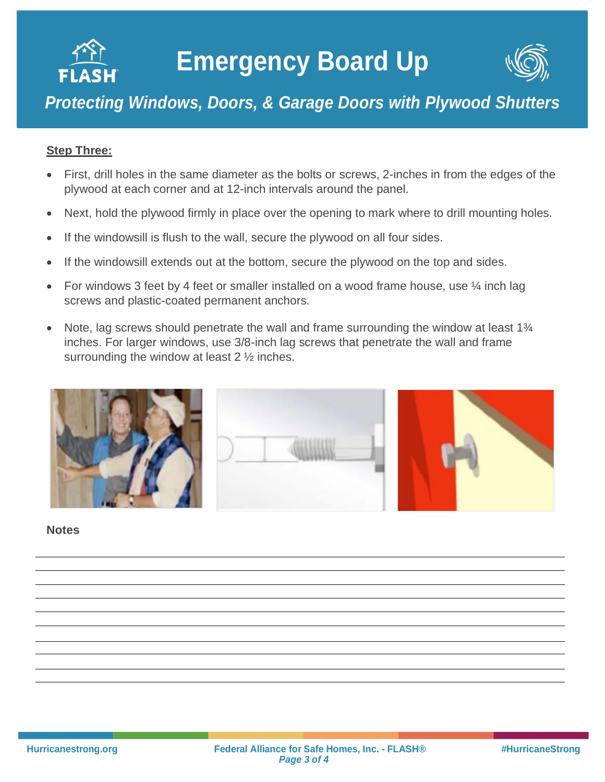



# *Protecting Windows, Doors, & Garage Doors with Plywood Shutters*

#### **Step Three:**

- First, drill holes in the same diameter as the bolts or screws, 2-inches in from the edges of the plywood at each corner and at 12-inch intervals around the panel.
- Next, hold the plywood firmly in place over the opening to mark where to drill mounting holes.
- If the windowsill is flush to the wall, secure the plywood on all four sides.
- If the windowsill extends out at the bottom, secure the plywood on the top and sides.
- For windows 3 feet by 4 feet or smaller installed on a wood frame house, use  $\frac{1}{4}$  inch lag screws and plastic-coated permanent anchors.
- Note, lag screws should penetrate the wall and frame surrounding the window at least 1<sup>3</sup>/<sub>4</sub> inches. For larger windows, use 3/8-inch lag screws that penetrate the wall and frame surrounding the window at least 2 ½ inches.



#### **Notes**